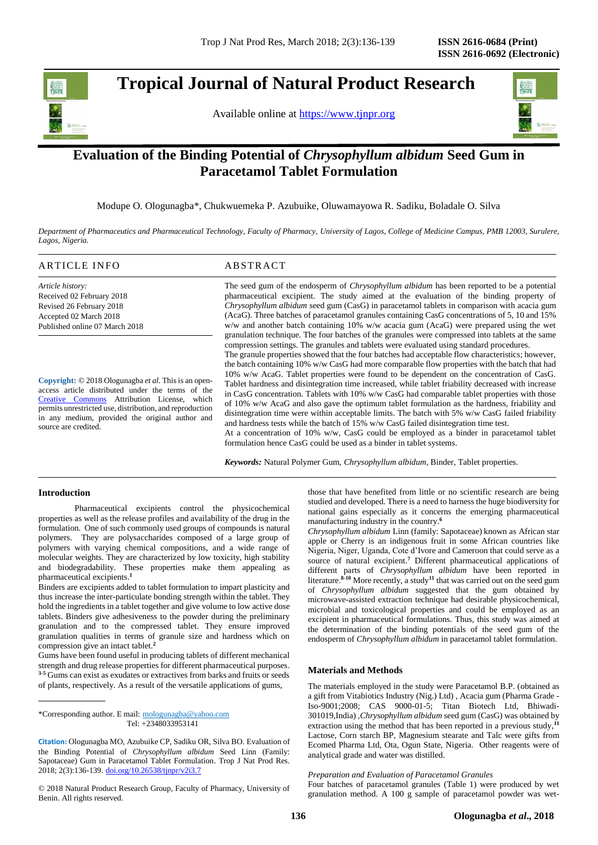# **Tropical Journal of Natural Product Research**

Available online at [https://www.tjnpr.org](https://www.tjnpr.org/)



## **Evaluation of the Binding Potential of** *Chrysophyllum albidum* **Seed Gum in Paracetamol Tablet Formulation**

Modupe O. Ologunagba\*, Chukwuemeka P. Azubuike, Oluwamayowa R. Sadiku, Boladale O. Silva

*Department of Pharmaceutics and Pharmaceutical Technology, Faculty of Pharmacy, University of Lagos, College of Medicine Campus, PMB 12003, Surulere, Lagos, Nigeria.*

#### ARTICLE INFO ABSTRACT

*Article history:* Received 02 February 2018 Revised 26 February 2018 Accepted 02 March 2018 Published online 07 March 2018

**Copyright:** © 2018 Ologunagba *et al*. This is an openaccess article distributed under the terms of the [Creative Commons](https://creativecommons.org/licenses/by/4.0/) Attribution License, which permits unrestricted use, distribution, and reproduction in any medium, provided the original author and source are credited.

The seed gum of the endosperm of *Chrysophyllum albidum* has been reported to be a potential pharmaceutical excipient. The study aimed at the evaluation of the binding property of *Chrysophyllum albidum* seed gum (CasG) in paracetamol tablets in comparison with acacia gum (AcaG). Three batches of paracetamol granules containing CasG concentrations of 5, 10 and 15% w/w and another batch containing 10% w/w acacia gum (AcaG) were prepared using the wet granulation technique. The four batches of the granules were compressed into tablets at the same compression settings. The granules and tablets were evaluated using standard procedures. The granule properties showed that the four batches had acceptable flow characteristics; however, the batch containing 10% w/w CasG had more comparable flow properties with the batch that had 10% w/w AcaG. Tablet properties were found to be dependent on the concentration of CasG.

Tablet hardness and disintegration time increased, while tablet friability decreased with increase in CasG concentration. Tablets with 10% w/w CasG had comparable tablet properties with those of 10% w/w AcaG and also gave the optimum tablet formulation as the hardness, friability and disintegration time were within acceptable limits. The batch with 5% w/w CasG failed friability and hardness tests while the batch of 15% w/w CasG failed disintegration time test.

At a concentration of 10% w/w, CasG could be employed as a binder in paracetamol tablet formulation hence CasG could be used as a binder in tablet systems.

*Keywords:* Natural Polymer Gum, *Chrysophyllum albidum*, Binder, Tablet properties.

#### **Introduction**

Pharmaceutical excipients control the physicochemical properties as well as the release profiles and availability of the drug in the formulation. One of such commonly used groups of compounds is natural polymers. They are polysaccharides composed of a large group of polymers with varying chemical compositions, and a wide range of molecular weights. They are characterized by low toxicity, high stability and biodegradability. These properties make them appealing as pharmaceutical excipients. **1**

Binders are excipients added to tablet formulation to impart plasticity and thus increase the inter-particulate bonding strength within the tablet. They hold the ingredients in a tablet together and give volume to low active dose tablets. Binders give adhesiveness to the powder during the preliminary granulation and to the compressed tablet. They ensure improved granulation qualities in terms of granule size and hardness which on compression give an intact tablet. **2**

Gums have been found useful in producing tablets of different mechanical strength and drug release properties for different pharmaceutical purposes. <sup>3-5</sup> Gums can exist as exudates or extractives from barks and fruits or seeds of plants, respectively. As a result of the versatile applications of gums,

\*Corresponding author. E mail: [mologunagba@yahoo.com](mailto:mologunagba@yahoo.com)  Tel: +2348033953141

**Citation:** Ologunagba MO, Azubuike CP, Sadiku OR, Silva BO. Evaluation of the Binding Potential of *Chrysophyllum albidum* Seed Linn (Family: Sapotaceae) Gum in Paracetamol Tablet Formulation. Trop J Nat Prod Res. 2018; 2(3):136-139. [doi.org/10.26538/tjnpr/v2i3.7](http://www.doi.org/10.26538/tjnpr/v1i4.5)

© 2018 Natural Product Research Group, Faculty of Pharmacy, University of Benin. All rights reserved.

those that have benefited from little or no scientific research are being studied and developed. There is a need to harness the huge biodiversity for national gains especially as it concerns the emerging pharmaceutical manufacturing industry in the country. **6**

*Chrysophyllum albidum* Linn (family: Sapotaceae) known as African star apple or Cherry is an indigenous fruit in some African countries like Nigeria, Niger, Uganda, Cote d'Ivore and Cameroon that could serve as a source of natural excipient. **<sup>7</sup>** Different pharmaceutical applications of different parts of *Chrysophyllum albidum* have been reported in literature.**8-10** More recently, a study**<sup>11</sup>** that was carried out on the seed gum of *Chrysophyllum albidum* suggested that the gum obtained by microwave-assisted extraction technique had desirable physicochemical, microbial and toxicological properties and could be employed as an excipient in pharmaceutical formulations. Thus, this study was aimed at the determination of the binding potentials of the seed gum of the endosperm of *Chrysophyllum albidum* in paracetamol tablet formulation.

#### **Materials and Methods**

The materials employed in the study were Paracetamol B.P. (obtained as a gift from Vitabiotics Industry (Nig.) Ltd) , Acacia gum (Pharma Grade - Iso-9001;2008; CAS 9000-01-5; Titan Biotech Ltd, Bhiwadi-301019,India) ,*Chrysophyllum albidum* seed gum (CasG) was obtained by extraction using the method that has been reported in a previous study,<sup>11</sup> Lactose, Corn starch BP, Magnesium stearate and Talc were gifts from Ecomed Pharma Ltd, Ota, Ogun State, Nigeria. Other reagents were of analytical grade and water was distilled.

*Preparation and Evaluation of Paracetamol Granules* Four batches of paracetamol granules (Table 1) were produced by wet granulation method. A 100 g sample of paracetamol powder was wet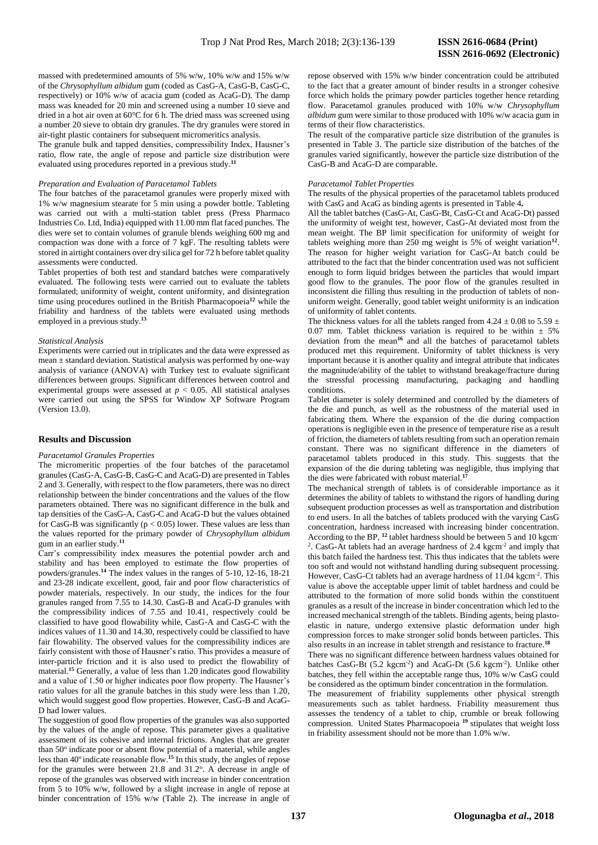massed with predetermined amounts of 5% w/w, 10% w/w and 15% w/w of the *Chrysophyllum albidum* gum (coded as CasG-A, CasG-B, CasG-C, respectively) or 10% w/w of acacia gum (coded as AcaG-D). The damp mass was kneaded for 20 min and screened using a number 10 sieve and dried in a hot air oven at 60°C for 6 h. The dried mass was screened using a number 20 sieve to obtain dry granules. The dry granules were stored in air-tight plastic containers for subsequent micromeritics analysis.

The granule bulk and tapped densities, compressibility Index, Hausner's ratio, flow rate, the angle of repose and particle size distribution were evaluated using procedures reported in a previous study. **11**

#### *Preparation and Evaluation of Paracetamol Tablets*

The four batches of the paracetamol granules were properly mixed with 1% w/w magnesium stearate for 5 min using a powder bottle. Tableting was carried out with a multi-station tablet press (Press Pharmaco Industries Co. Ltd, India) equipped with 11.00 mm flat faced punches. The dies were set to contain volumes of granule blends weighing 600 mg and compaction was done with a force of 7 kgF. The resulting tablets were stored in airtight containers over dry silica gel for 72 h before tablet quality assessments were conducted.

Tablet properties of both test and standard batches were comparatively evaluated. The following tests were carried out to evaluate the tablets formulated; uniformity of weight, content uniformity, and disintegration time using procedures outlined in the British Pharmacopoeia**<sup>12</sup>** while the friability and hardness of the tablets were evaluated using methods employed in a previous study. **13**

#### *Statistical Analysis*

Experiments were carried out in triplicates and the data were expressed as mean ± standard deviation. Statistical analysis was performed by one-way analysis of variance (ANOVA) with Turkey test to evaluate significant differences between groups. Significant differences between control and experimental groups were assessed at *p* < 0.05. All statistical analyses were carried out using the SPSS for Window XP Software Program (Version 13.0).

#### **Results and Discussion**

#### *Paracetamol Granules Properties*

The micromeritic properties of the four batches of the paracetamol granules (CasG-A, CasG-B, CasG-C and AcaG-D) are presented in Tables 2 and 3. Generally, with respect to the flow parameters, there was no direct relationship between the binder concentrations and the values of the flow parameters obtained. There was no significant difference in the bulk and tap densities of the CasG-A, CasG-C and AcaG-D but the values obtained for CasG-B was significantly ( $p < 0.05$ ) lower. These values are less than the values reported for the primary powder of *Chrysophyllum albidum*  gum in an earlier study. **11**

Carr's compressibility index measures the potential powder arch and stability and has been employed to estimate the flow properties of powders/granules. **<sup>14</sup>** The index values in the ranges of 5-10, 12-16, 18-21 and 23-28 indicate excellent, good, fair and poor flow characteristics of powder materials, respectively. In our study, the indices for the four granules ranged from 7.55 to 14.30. CasG-B and AcaG-D granules with the compressibility indices of 7.55 and 10.41, respectively could be classified to have good flowability while, CasG-A and CasG-C with the indices values of 11.30 and 14.30, respectively could be classified to have fair flowability. The observed values for the compressibility indices are fairly consistent with those of Hausner's ratio. This provides a measure of inter-particle friction and it is also used to predict the flowability of material. **<sup>15</sup>** Generally, a value of less than 1.20 indicates good flowability and a value of 1.50 or higher indicates poor flow property. The Hausner's ratio values for all the granule batches in this study were less than 1.20, which would suggest good flow properties. However, CasG-B and AcaG-D had lower values.

The suggestion of good flow properties of the granules was also supported by the values of the angle of repose. This parameter gives a qualitative assessment of its cohesive and internal frictions. Angles that are greater than 50° indicate poor or absent flow potential of a material, while angles less than 40<sup>o</sup> indicate reasonable flow.<sup>15</sup> In this study, the angles of repose for the granules were between 21.8 and 31.2°. A decrease in angle of repose of the granules was observed with increase in binder concentration from 5 to 10% w/w, followed by a slight increase in angle of repose at binder concentration of 15% w/w (Table 2). The increase in angle of

repose observed with 15% w/w binder concentration could be attributed to the fact that a greater amount of binder results in a stronger cohesive force which holds the primary powder particles together hence retarding flow. Paracetamol granules produced with 10% w/w *Chrysophyllum albidum* gum were similar to those produced with 10% w/w acacia gum in terms of their flow characteristics.

The result of the comparative particle size distribution of the granules is presented in Table 3. The particle size distribution of the batches of the granules varied significantly, however the particle size distribution of the CasG-B and AcaG-D are comparable.

#### *Paracetamol Tablet Properties*

The results of the physical properties of the paracetamol tablets produced with CasG and AcaG as binding agents is presented in Table 4*.*

All the tablet batches (CasG-At, CasG-Bt, CasG-Ct and AcaG-Dt) passed the uniformity of weight test, however, CasG-At deviated most from the mean weight. The BP limit specification for uniformity of weight for tablets weighing more than 250 mg weight is 5% of weight variation**<sup>12</sup>** . The reason for higher weight variation for CasG-At batch could be attributed to the fact that the binder concentration used was not sufficient enough to form liquid bridges between the particles that would impart good flow to the granules. The poor flow of the granules resulted in inconsistent die filling thus resulting in the production of tablets of nonuniform weight. Generally, good tablet weight uniformity is an indication of uniformity of tablet contents.

The thickness values for all the tablets ranged from 4.24  $\pm$  0.08 to 5.59  $\pm$ 0.07 mm. Tablet thickness variation is required to be within  $\pm$  5% deviation from the mean**<sup>16</sup>** and all the batches of paracetamol tablets produced met this requirement. Uniformity of tablet thickness is very important because it is another quality and integral attribute that indicates the magnitude/ability of the tablet to withstand breakage/fracture during the stressful processing manufacturing, packaging and handling conditions.

Tablet diameter is solely determined and controlled by the diameters of the die and punch, as well as the robustness of the material used in fabricating them. Where the expansion of the die during compaction operations is negligible even in the presence of temperature rise as a result of friction, the diameters of tablets resulting from such an operation remain constant. There was no significant difference in the diameters of paracetamol tablets produced in this study. This suggests that the expansion of the die during tableting was negligible, thus implying that the dies were fabricated with robust material. **17**

The mechanical strength of tablets is of considerable importance as it determines the ability of tablets to withstand the rigors of handling during subsequent production processes as well as transportation and distribution to end users. In all the batches of tablets produced with the varying CasG concentration, hardness increased with increasing binder concentration. According to the BP, **<sup>12</sup>** tablet hardness should be between 5 and 10 kgcm-<sup>2</sup>. CasG-At tablets had an average hardness of 2.4 kgcm<sup>-2</sup> and imply that this batch failed the hardness test. This thus indicates that the tablets were too soft and would not withstand handling during subsequent processing. However, CasG-Ct tablets had an average hardness of 11.04 kgcm<sup>-2</sup>. This value is above the acceptable upper limit of tablet hardness and could be attributed to the formation of more solid bonds within the constituent granules as a result of the increase in binder concentration which led to the increased mechanical strength of the tablets. Binding agents, being plastoelastic in nature, undergo extensive plastic deformation under high compression forces to make stronger solid bonds between particles. This also results in an increase in tablet strength and resistance to fracture. **18**

There was no significant difference between hardness values obtained for batches CasG-Bt (5.2 kgcm<sup>-2</sup>) and AcaG-Dt (5.6 kgcm<sup>-2</sup>). Unlike other batches, they fell within the acceptable range thus, 10% w/w CasG could be considered as the optimum binder concentration in the formulation.

The measurement of friability supplements other physical strength measurements such as tablet hardness. Friability measurement thus assesses the tendency of a tablet to chip, crumble or break following compression. United States Pharmacopoeia **<sup>19</sup>** stipulates that weight loss in friability assessment should not be more than 1.0% w/w.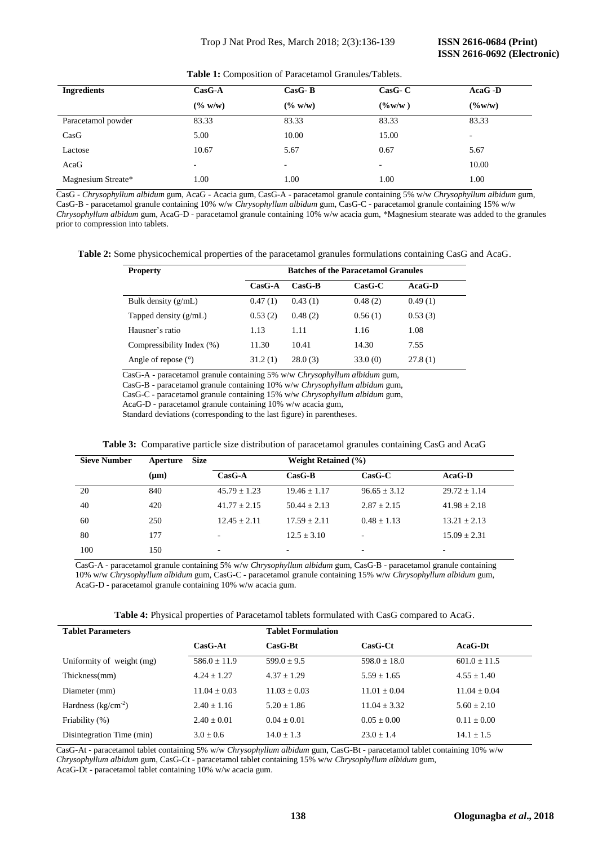| <b>Ingredients</b> | $CasG-A$ | $CasG-B$ | $\bf CasG-C$ | $AcaG$ -D |
|--------------------|----------|----------|--------------|-----------|
|                    | (% w/w)  | (% w/w)  | $($ %w/w)    | $($ %w/w) |
| Paracetamol powder | 83.33    | 83.33    | 83.33        | 83.33     |
| CasG               | 5.00     | 10.00    | 15.00        | ۰         |
| Lactose            | 10.67    | 5.67     | 0.67         | 5.67      |
| AcaG               | -        | ۰        | -            | 10.00     |
| Magnesium Streate* | 1.00     | 1.00     | 1.00         | 1.00      |

**Table 1:** Composition of Paracetamol Granules/Tablets.

 CasG - *Chrysophyllum albidum* gum, AcaG - Acacia gum, CasG-A - paracetamol granule containing 5% w/w *Chrysophyllum albidum* gum, CasG-B - paracetamol granule containing 10% w/w *Chrysophyllum albidum* gum, CasG-C - paracetamol granule containing 15% w/w *Chrysophyllum albidum* gum, AcaG-D - paracetamol granule containing 10% w/w acacia gum, \*Magnesium stearate was added to the granules prior to compression into tablets.

**Table 2:** Some physicochemical properties of the paracetamol granules formulations containing CasG and AcaG.

| <b>Property</b>           | <b>Batches of the Paracetamol Granules</b> |          |              |               |  |  |
|---------------------------|--------------------------------------------|----------|--------------|---------------|--|--|
|                           | $CasG-A$                                   | $CasG-B$ | $\bf CasG-C$ | <b>AcaG-D</b> |  |  |
| Bulk density $(g/mL)$     | 0.47(1)                                    | 0.43(1)  | 0.48(2)      | 0.49(1)       |  |  |
| Tapped density $(g/mL)$   | 0.53(2)                                    | 0.48(2)  | 0.56(1)      | 0.53(3)       |  |  |
| Hausner's ratio           | 1.13                                       | 1.11     | 1.16         | 1.08          |  |  |
| Compressibility Index (%) | 11.30                                      | 10.41    | 14.30        | 7.55          |  |  |
| Angle of repose $(°)$     | 31.2(1)                                    | 28.0(3)  | 33.0(0)      | 27.8(1)       |  |  |

CasG-A - paracetamol granule containing 5% w/w *Chrysophyllum albidum* gum,

CasG-B - paracetamol granule containing 10% w/w *Chrysophyllum albidum* gum,

CasG-C - paracetamol granule containing 15% w/w *Chrysophyllum albidum* gum,

AcaG-D - paracetamol granule containing 10% w/w acacia gum,

Standard deviations (corresponding to the last figure) in parentheses.

|  |  |  |  |  | Table 3: Comparative particle size distribution of paracetamol granules containing CasG and AcaG |  |
|--|--|--|--|--|--------------------------------------------------------------------------------------------------|--|
|--|--|--|--|--|--------------------------------------------------------------------------------------------------|--|

| <b>Sieve Number</b> | <b>Size</b><br>Aperture | <b>Weight Retained (%)</b> |                 |                          |                          |
|---------------------|-------------------------|----------------------------|-----------------|--------------------------|--------------------------|
|                     | $(\mu m)$               | $CasG-A$                   | $CasG-B$        | $\bf CasG-C$             | $AcaG-D$                 |
| 20                  | 840                     | $45.79 + 1.23$             | $19.46 + 1.17$  | $96.65 \pm 3.12$         | $29.72 + 1.14$           |
| 40                  | 420                     | $41.77 \pm 2.15$           | $50.44 + 2.13$  | $2.87 + 2.15$            | $41.98 \pm 2.18$         |
| 60                  | 250                     | $12.45 + 2.11$             | $17.59 + 2.11$  | $0.48 + 1.13$            | $13.21 + 2.13$           |
| 80                  | 177                     | $\overline{\phantom{a}}$   | $12.5 \pm 3.10$ | $\overline{\phantom{0}}$ | $15.09 \pm 2.31$         |
| 100                 | 150                     | ۰                          | -               | -                        | $\overline{\phantom{0}}$ |

 CasG-A - paracetamol granule containing 5% w/w *Chrysophyllum albidum* gum, CasG-B - paracetamol granule containing 10% w/w *Chrysophyllum albidum* gum, CasG-C - paracetamol granule containing 15% w/w *Chrysophyllum albidum* gum, AcaG-D - paracetamol granule containing 10% w/w acacia gum.

|  |  |  | <b>Table 4:</b> Physical properties of Paracetamol tablets formulated with CasG compared to AcaG. |  |  |  |  |  |  |
|--|--|--|---------------------------------------------------------------------------------------------------|--|--|--|--|--|--|
|--|--|--|---------------------------------------------------------------------------------------------------|--|--|--|--|--|--|

| <b>Tablet Parameters</b>  |                  | <b>Tablet Formulation</b> |                      |                 |
|---------------------------|------------------|---------------------------|----------------------|-----------------|
|                           | $CasG-At$        | $CasG-Bt$                 | $\bf CasG\text{-}Ct$ | $AcaG-Dt$       |
| Uniformity of weight (mg) | $586.0 + 11.9$   | $599.0 + 9.5$             | $598.0 + 18.0$       | $601.0 + 11.5$  |
| Thickness(mm)             | $4.24 + 1.27$    | $4.37 + 1.29$             | $5.59 + 1.65$        | $4.55 + 1.40$   |
| Diameter (mm)             | $11.04 \pm 0.03$ | $11.03 + 0.03$            | $11.01 + 0.04$       | $11.04 + 0.04$  |
| Hardness $(kg/cm^{-2})$   | $2.40 + 1.16$    | $5.20 + 1.86$             | $11.04 + 3.32$       | $5.60 + 2.10$   |
| Friability (%)            | $2.40 + 0.01$    | $0.04 + 0.01$             | $0.05 + 0.00$        | $0.11 \pm 0.00$ |
| Disintegration Time (min) | $3.0 + 0.6$      | $14.0 + 1.3$              | $23.0 + 1.4$         | $14.1 \pm 1.5$  |

 CasG-At - paracetamol tablet containing 5% w/w *Chrysophyllum albidum* gum, CasG-Bt - paracetamol tablet containing 10% w/w *Chrysophyllum albidum* gum, CasG-Ct - paracetamol tablet containing 15% w/w *Chrysophyllum albidum* gum, AcaG-Dt - paracetamol tablet containing 10% w/w acacia gum.